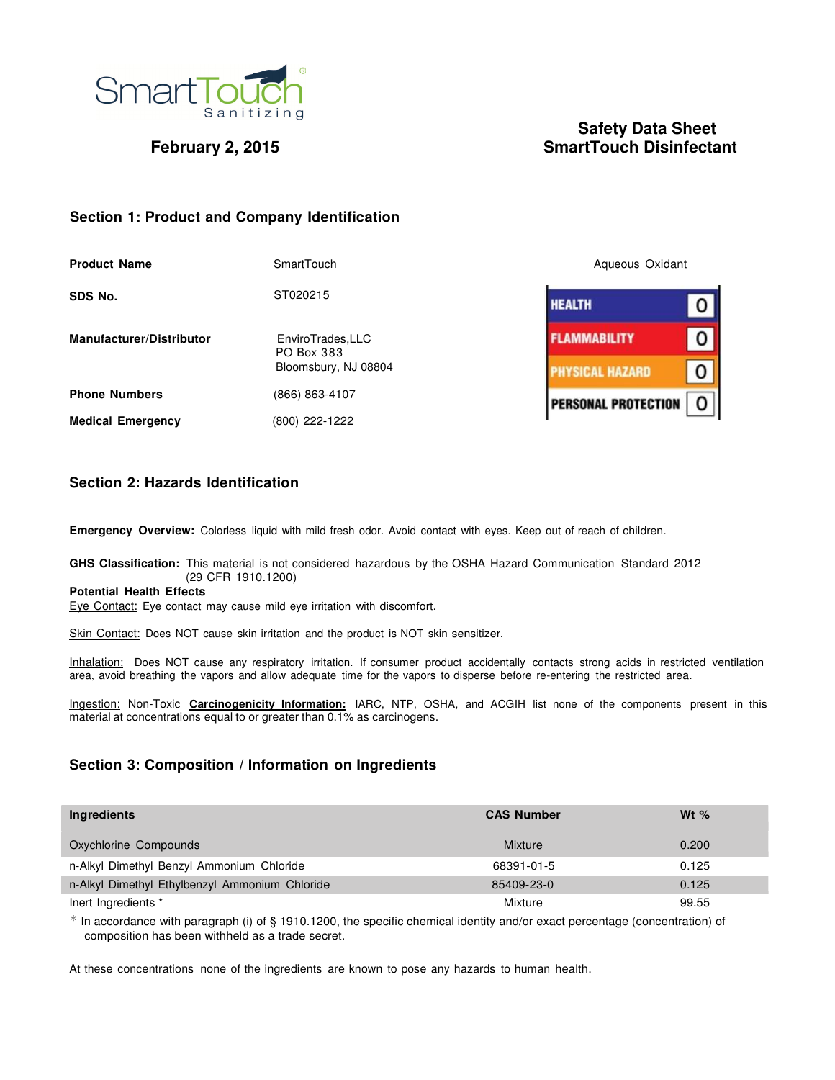

# **Safety Data Sheet February 2, 2015** SmartTouch Disinfectant

O

0

0

O

# **Section 1: Product and Company Identification**

| <b>Product Name</b>             | SmartTouch                      | Aqueous Oxidant            |
|---------------------------------|---------------------------------|----------------------------|
| SDS No.                         | ST020215                        | <b>HEALTH</b>              |
| <b>Manufacturer/Distributor</b> | EnviroTrades, LLC<br>PO Box 383 | <b>FLAMMABILITY</b>        |
|                                 | Bloomsbury, NJ 08804            | <b>HYSICAL HAZARD</b>      |
| <b>Phone Numbers</b>            | (866) 863-4107                  | <b>PERSONAL PROTECTION</b> |
| <b>Medical Emergency</b>        | (800) 222-1222                  |                            |

# **Section 2: Hazards Identification**

**Emergency Overview:** Colorless liquid with mild fresh odor. Avoid contact with eyes. Keep out of reach of children.

### **GHS Classification:** This material is not considered hazardous by the OSHA Hazard Communication Standard 2012 (29 CFR 1910.1200)

## **Potential Health Effects**

Eye Contact: Eye contact may cause mild eye irritation with discomfort.

Skin Contact: Does NOT cause skin irritation and the product is NOT skin sensitizer.

Inhalation: Does NOT cause any respiratory irritation. If consumer product accidentally contacts strong acids in restricted ventilation area, avoid breathing the vapors and allow adequate time for the vapors to disperse before re-entering the restricted area.

Ingestion: Non-Toxic **Carcinogenicity Information:** IARC, NTP, OSHA, and ACGIH list none of the components present in this material at concentrations equal to or greater than 0.1% as carcinogens.

# **Section 3: Composition / Information on Ingredients**

| Ingredients                                    | <b>CAS Number</b> | Wt $%$ |
|------------------------------------------------|-------------------|--------|
| Oxychlorine Compounds                          | <b>Mixture</b>    | 0.200  |
| n-Alkyl Dimethyl Benzyl Ammonium Chloride      | 68391-01-5        | 0.125  |
| n-Alkyl Dimethyl Ethylbenzyl Ammonium Chloride | 85409-23-0        | 0.125  |
| lnert Ingredients *                            | Mixture           | 99.55  |

 \* In accordance with paragraph (i) of § 1910.1200, the specific chemical identity and/or exact percentage (concentration) of composition has been withheld as a trade secret.

At these concentrations none of the ingredients are known to pose any hazards to human health.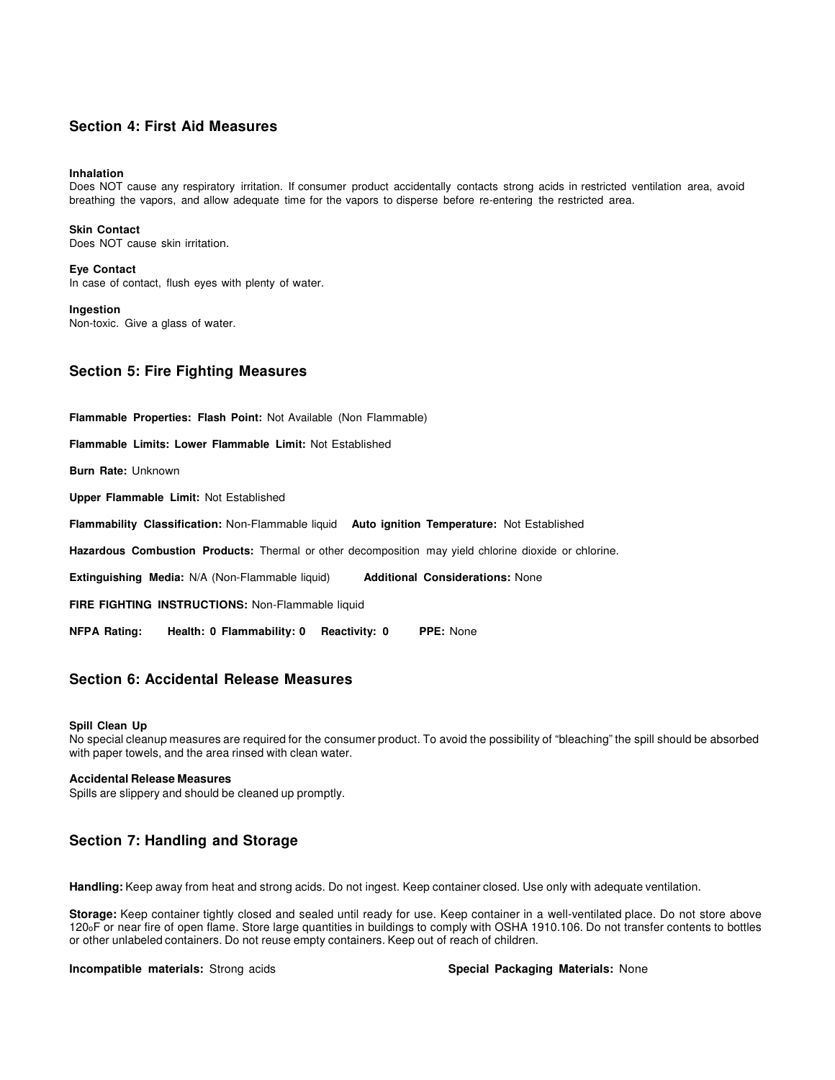# **Section 4: First Aid Measures**

#### **Inhalation**

Does NOT cause any respiratory irritation. If consumer product accidentally contacts strong acids in restricted ventilation area, avoid breathing the vapors, and allow adequate time for the vapors to disperse before re-entering the restricted area.

**Skin Contact** Does NOT cause skin irritation.

#### **Eye Contact**

In case of contact, flush eyes with plenty of water.

**Ingestion**

Non-toxic. Give a glass of water.

# **Section 5: Fire Fighting Measures**

**Flammable Properties: Flash Point:** Not Available (Non Flammable) **Flammable Limits: Lower Flammable Limit:** Not Established **Burn Rate:** Unknown **Upper Flammable Limit:** Not Established **Flammability Classification:** Non-Flammable liquid **Auto ignition Temperature:** Not Established **Hazardous Combustion Products:** Thermal or other decomposition may yield chlorine dioxide or chlorine. **Extinguishing Media:** N/A (Non-Flammable liquid) **Additional Considerations:** None **FIRE FIGHTING INSTRUCTIONS:** Non-Flammable liquid

**NFPA Rating: Health: 0 Flammability: 0 Reactivity: 0 PPE:** None

# **Section 6: Accidental Release Measures**

#### **Spill Clean Up**

No special cleanup measures are required for the consumer product. To avoid the possibility of "bleaching" the spill should be absorbed with paper towels, and the area rinsed with clean water.

#### **Accidental Release Measures**

Spills are slippery and should be cleaned up promptly.

# **Section 7: Handling and Storage**

**Handling:** Keep away from heat and strong acids. Do not ingest. Keep container closed. Use only with adequate ventilation.

**Storage:** Keep container tightly closed and sealed until ready for use. Keep container in a well-ventilated place. Do not store above 120oF or near fire of open flame. Store large quantities in buildings to comply with OSHA 1910.106. Do not transfer contents to bottles or other unlabeled containers. Do not reuse empty containers. Keep out of reach of children.

**Incompatible materials:** Strong acids **Special Packaging Materials:** None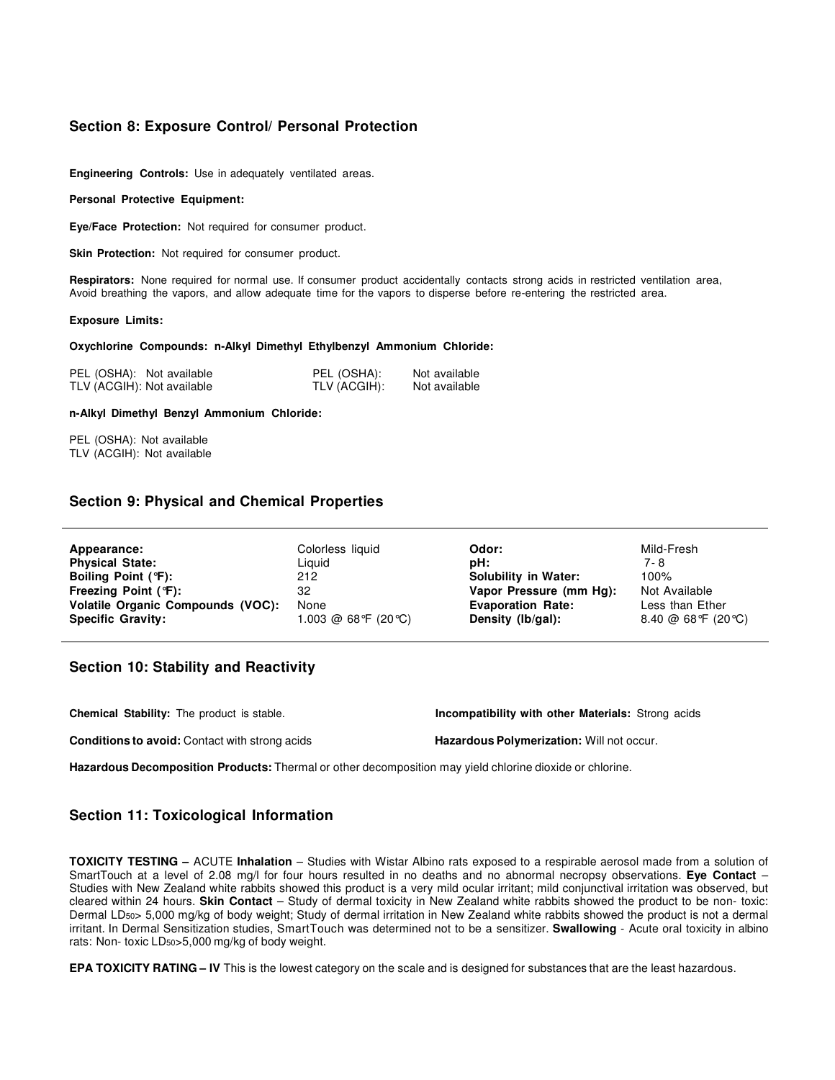# **Section 8: Exposure Control/ Personal Protection**

**Engineering Controls:** Use in adequately ventilated areas.

#### **Personal Protective Equipment:**

**Eye/Face Protection:** Not required for consumer product.

**Skin Protection:** Not required for consumer product.

**Respirators:** None required for normal use. If consumer product accidentally contacts strong acids in restricted ventilation area, Avoid breathing the vapors, and allow adequate time for the vapors to disperse before re-entering the restricted area.

#### **Exposure Limits:**

#### **Oxychlorine Compounds: n-Alkyl Dimethyl Ethylbenzyl Ammonium Chloride:**

| PEL (OSHA): Not available  | PEL (OSHA):  | Not available |
|----------------------------|--------------|---------------|
| TLV (ACGIH): Not available | TLV (ACGIH): | Not available |

#### **n-Alkyl Dimethyl Benzyl Ammonium Chloride:**

PEL (OSHA): Not available TLV (ACGIH): Not available

## **Section 9: Physical and Chemical Properties**

| Appearance:                       | Colorless liquid        | Odor:                       | Mild-Fresh         |
|-----------------------------------|-------------------------|-----------------------------|--------------------|
| <b>Physical State:</b>            | Liguid                  | pH:                         | 7-8                |
| Boiling Point (°F):               | 212                     | <b>Solubility in Water:</b> | 100%               |
| Freezing Point (°F):              | 32                      | Vapor Pressure (mm Hg):     | Not Available      |
| Volatile Organic Compounds (VOC): | None                    | <b>Evaporation Rate:</b>    | Less than Ether    |
| <b>Specific Gravity:</b>          | $1.003 \ @ 68°F (20°C)$ | Density (lb/gal):           | 8.40 @ 68°F (20°C) |

# **Section 10: Stability and Reactivity**

| <b>Chemical Stability:</b> The product is stable.     | Incompatibility with other Materials: Strong acids |
|-------------------------------------------------------|----------------------------------------------------|
| <b>Conditions to avoid:</b> Contact with strong acids | <b>Hazardous Polymerization: Will not occur.</b>   |

**Hazardous Decomposition Products:** Thermal or other decomposition may yield chlorine dioxide or chlorine.

## **Section 11: Toxicological Information**

**TOXICITY TESTING –** ACUTE **Inhalation** – Studies with Wistar Albino rats exposed to a respirable aerosol made from a solution of SmartTouch at a level of 2.08 mg/l for four hours resulted in no deaths and no abnormal necropsy observations. **Eye Contact** – Studies with New Zealand white rabbits showed this product is a very mild ocular irritant; mild conjunctival irritation was observed, but cleared within 24 hours. **Skin Contact** – Study of dermal toxicity in New Zealand white rabbits showed the product to be non- toxic: Dermal LD50> 5,000 mg/kg of body weight; Study of dermal irritation in New Zealand white rabbits showed the product is not a dermal irritant. In Dermal Sensitization studies, SmartTouch was determined not to be a sensitizer. **Swallowing** - Acute oral toxicity in albino rats: Non- toxic LD50>5,000 mg/kg of body weight.

**EPA TOXICITY RATING – IV** This is the lowest category on the scale and is designed for substances that are the least hazardous.